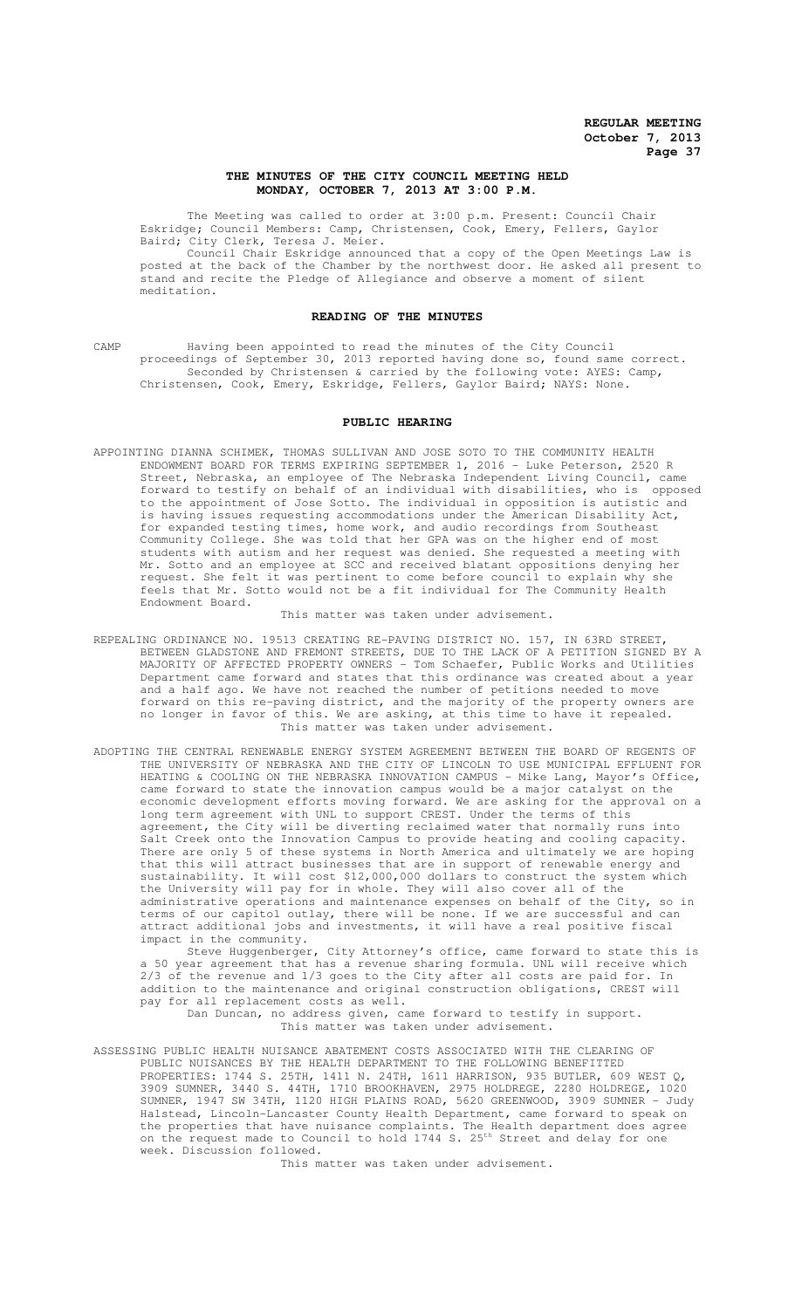## **THE MINUTES OF THE CITY COUNCIL MEETING HELD MONDAY, OCTOBER 7, 2013 AT 3:00 P.M.**

The Meeting was called to order at 3:00 p.m. Present: Council Chair Eskridge; Council Members: Camp, Christensen, Cook, Emery, Fellers, Gaylor Baird; City Clerk, Teresa J. Meier.

Council Chair Eskridge announced that a copy of the Open Meetings Law is posted at the back of the Chamber by the northwest door. He asked all present to stand and recite the Pledge of Allegiance and observe a moment of silent meditation.

#### **READING OF THE MINUTES**

CAMP Having been appointed to read the minutes of the City Council proceedings of September 30, 2013 reported having done so, found same correct. Seconded by Christensen & carried by the following vote: AYES: Camp, Christensen, Cook, Emery, Eskridge, Fellers, Gaylor Baird; NAYS: None.

#### **PUBLIC HEARING**

APPOINTING DIANNA SCHIMEK, THOMAS SULLIVAN AND JOSE SOTO TO THE COMMUNITY HEALTH ENDOWMENT BOARD FOR TERMS EXPIRING SEPTEMBER 1, 2016 - Luke Peterson, 2520 R Street, Nebraska, an employee of The Nebraska Independent Living Council, came forward to testify on behalf of an individual with disabilities, who is opposed to the appointment of Jose Sotto. The individual in opposition is autistic and is having issues requesting accommodations under the American Disability Act, for expanded testing times, home work, and audio recordings from Southeast Community College. She was told that her GPA was on the higher end of most students with autism and her request was denied. She requested a meeting with Mr. Sotto and an employee at SCC and received blatant oppositions denying her request. She felt it was pertinent to come before council to explain why she feels that Mr. Sotto would not be a fit individual for The Community Health Endowment Board.

#### This matter was taken under advisement.

- REPEALING ORDINANCE NO. 19513 CREATING RE-PAVING DISTRICT NO. 157, IN 63RD STREET, BETWEEN GLADSTONE AND FREMONT STREETS, DUE TO THE LACK OF A PETITION SIGNED BY A MAJORITY OF AFFECTED PROPERTY OWNERS - Tom Schaefer, Public Works and Utilities Department came forward and states that this ordinance was created about a year and a half ago. We have not reached the number of petitions needed to move forward on this re-paving district, and the majority of the property owners are no longer in favor of this. We are asking, at this time to have it repealed. This matter was taken under advisement.
- ADOPTING THE CENTRAL RENEWABLE ENERGY SYSTEM AGREEMENT BETWEEN THE BOARD OF REGENTS OF THE UNIVERSITY OF NEBRASKA AND THE CITY OF LINCOLN TO USE MUNICIPAL EFFLUENT FOR HEATING & COOLING ON THE NEBRASKA INNOVATION CAMPUS - Mike Lang, Mayor's Office, came forward to state the innovation campus would be a major catalyst on the economic development efforts moving forward. We are asking for the approval on a long term agreement with UNL to support CREST. Under the terms of this agreement, the City will be diverting reclaimed water that normally runs into Salt Creek onto the Innovation Campus to provide heating and cooling capacity. There are only 5 of these systems in North America and ultimately we are hoping that this will attract businesses that are in support of renewable energy and sustainability. It will cost \$12,000,000 dollars to construct the system which the University will pay for in whole. They will also cover all of the administrative operations and maintenance expenses on behalf of the City, so in terms of our capitol outlay, there will be none. If we are successful and can attract additional jobs and investments, it will have a real positive fiscal impact in the community.

Steve Huggenberger, City Attorney's office, came forward to state this is a 50 year agreement that has a revenue sharing formula. UNL will receive which 2/3 of the revenue and 1/3 goes to the City after all costs are paid for. In addition to the maintenance and original construction obligations, CREST will pay for all replacement costs as well. Dan Duncan, no address given, came forward to testify in support.

This matter was taken under advisement.

ASSESSING PUBLIC HEALTH NUISANCE ABATEMENT COSTS ASSOCIATED WITH THE CLEARING OF PUBLIC NUISANCES BY THE HEALTH DEPARTMENT TO THE FOLLOWING BENEFITTED PROPERTIES: 1744 S. 25TH, 1411 N. 24TH, 1611 HARRISON, 935 BUTLER, 609 WEST Q, 3909 SUMNER, 3440 S. 44TH, 1710 BROOKHAVEN, 2975 HOLDREGE, 2280 HOLDREGE, 1020 SUMNER, 1947 SW 34TH, 1120 HIGH PLAINS ROAD, 5620 GREENWOOD, 3909 SUMNER - Judy Halstead, Lincoln-Lancaster County Health Department, came forward to speak on the properties that have nuisance complaints. The Health department does agree on the request made to Council to hold 1744 S. 25<sup>th</sup> Street and delay for one week. Discussion followed.

This matter was taken under advisement.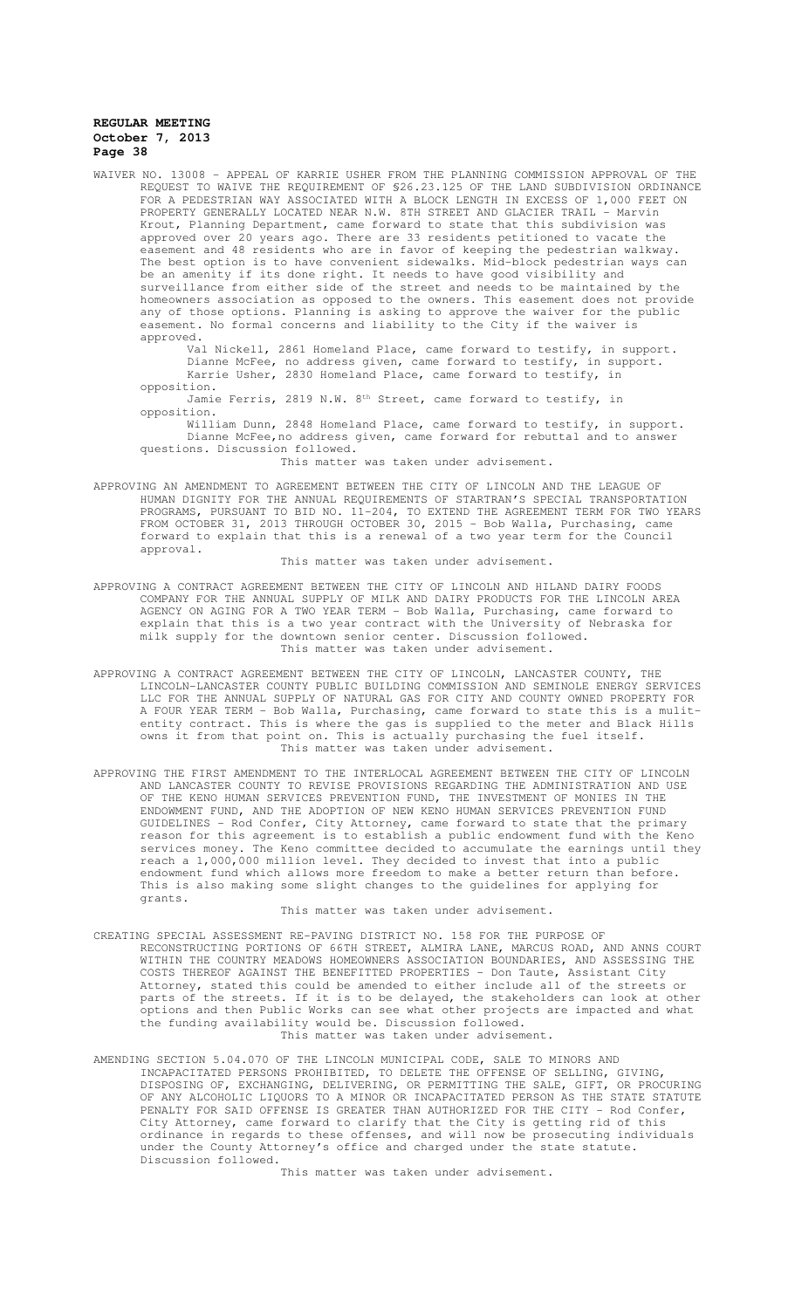WAIVER NO. 13008 – APPEAL OF KARRIE USHER FROM THE PLANNING COMMISSION APPROVAL OF THE REQUEST TO WAIVE THE REQUIREMENT OF §26.23.125 OF THE LAND SUBDIVISION ORDINANCE FOR A PEDESTRIAN WAY ASSOCIATED WITH A BLOCK LENGTH IN EXCESS OF 1,000 FEET ON PROPERTY GENERALLY LOCATED NEAR N.W. 8TH STREET AND GLACIER TRAIL - Marvin Krout, Planning Department, came forward to state that this subdivision was approved over 20 years ago. There are 33 residents petitioned to vacate the easement and 48 residents who are in favor of keeping the pedestrian walkway. The best option is to have convenient sidewalks. Mid-block pedestrian ways can be an amenity if its done right. It needs to have good visibility and surveillance from either side of the street and needs to be maintained by the homeowners association as opposed to the owners. This easement does not provide any of those options. Planning is asking to approve the waiver for the public easement. No formal concerns and liability to the City if the waiver is approved.

Val Nickell, 2861 Homeland Place, came forward to testify, in support. Dianne McFee, no address given, came forward to testify, in support. Karrie Usher, 2830 Homeland Place, came forward to testify, in opposition.

Jamie Ferris, 2819 N.W.  $8<sup>th</sup>$  Street, came forward to testify, in opposition.

William Dunn, 2848 Homeland Place, came forward to testify, in support. Dianne McFee,no address given, came forward for rebuttal and to answer questions. Discussion followed.

This matter was taken under advisement.

APPROVING AN AMENDMENT TO AGREEMENT BETWEEN THE CITY OF LINCOLN AND THE LEAGUE OF HUMAN DIGNITY FOR THE ANNUAL REQUIREMENTS OF STARTRAN'S SPECIAL TRANSPORTATION PROGRAMS, PURSUANT TO BID NO. 11-204, TO EXTEND THE AGREEMENT TERM FOR TWO YEARS FROM OCTOBER 31, 2013 THROUGH OCTOBER 30, 2015 - Bob Walla, Purchasing, came forward to explain that this is a renewal of a two year term for the Council approval.

This matter was taken under advisement.

- APPROVING A CONTRACT AGREEMENT BETWEEN THE CITY OF LINCOLN AND HILAND DAIRY FOODS COMPANY FOR THE ANNUAL SUPPLY OF MILK AND DAIRY PRODUCTS FOR THE LINCOLN AREA AGENCY ON AGING FOR A TWO YEAR TERM - Bob Walla, Purchasing, came forward to explain that this is a two year contract with the University of Nebraska for milk supply for the downtown senior center. Discussion followed. This matter was taken under advisement.
- APPROVING A CONTRACT AGREEMENT BETWEEN THE CITY OF LINCOLN, LANCASTER COUNTY, THE LINCOLN-LANCASTER COUNTY PUBLIC BUILDING COMMISSION AND SEMINOLE ENERGY SERVICES LLC FOR THE ANNUAL SUPPLY OF NATURAL GAS FOR CITY AND COUNTY OWNED PROPERTY FOR A FOUR YEAR TERM - Bob Walla, Purchasing, came forward to state this is a mulitentity contract. This is where the gas is supplied to the meter and Black Hills owns it from that point on. This is actually purchasing the fuel itself. This matter was taken under advisement.
- APPROVING THE FIRST AMENDMENT TO THE INTERLOCAL AGREEMENT BETWEEN THE CITY OF LINCOLN AND LANCASTER COUNTY TO REVISE PROVISIONS REGARDING THE ADMINISTRATION AND USE OF THE KENO HUMAN SERVICES PREVENTION FUND, THE INVESTMENT OF MONIES IN THE ENDOWMENT FUND, AND THE ADOPTION OF NEW KENO HUMAN SERVICES PREVENTION FUND GUIDELINES - Rod Confer, City Attorney, came forward to state that the primary reason for this agreement is to establish a public endowment fund with the Keno services money. The Keno committee decided to accumulate the earnings until they reach a 1,000,000 million level. They decided to invest that into a public endowment fund which allows more freedom to make a better return than before. This is also making some slight changes to the guidelines for applying for grants.

This matter was taken under advisement.

- CREATING SPECIAL ASSESSMENT RE-PAVING DISTRICT NO. 158 FOR THE PURPOSE OF RECONSTRUCTING PORTIONS OF 66TH STREET, ALMIRA LANE, MARCUS ROAD, AND ANNS COURT WITHIN THE COUNTRY MEADOWS HOMEOWNERS ASSOCIATION BOUNDARIES, AND ASSESSING THE COSTS THEREOF AGAINST THE BENEFITTED PROPERTIES - Don Taute, Assistant City Attorney, stated this could be amended to either include all of the streets or parts of the streets. If it is to be delayed, the stakeholders can look at other options and then Public Works can see what other projects are impacted and what the funding availability would be. Discussion followed. This matter was taken under advisement.
- AMENDING SECTION 5.04.070 OF THE LINCOLN MUNICIPAL CODE, SALE TO MINORS AND INCAPACITATED PERSONS PROHIBITED, TO DELETE THE OFFENSE OF SELLING, GIVING, DISPOSING OF, EXCHANGING, DELIVERING, OR PERMITTING THE SALE, GIFT, OR PROCURING OF ANY ALCOHOLIC LIQUORS TO A MINOR OR INCAPACITATED PERSON AS THE STATE STATUTE PENALTY FOR SAID OFFENSE IS GREATER THAN AUTHORIZED FOR THE CITY - Rod Confer, City Attorney, came forward to clarify that the City is getting rid of this ordinance in regards to these offenses, and will now be prosecuting individuals under the County Attorney's office and charged under the state statute. Discussion followed.

This matter was taken under advisement.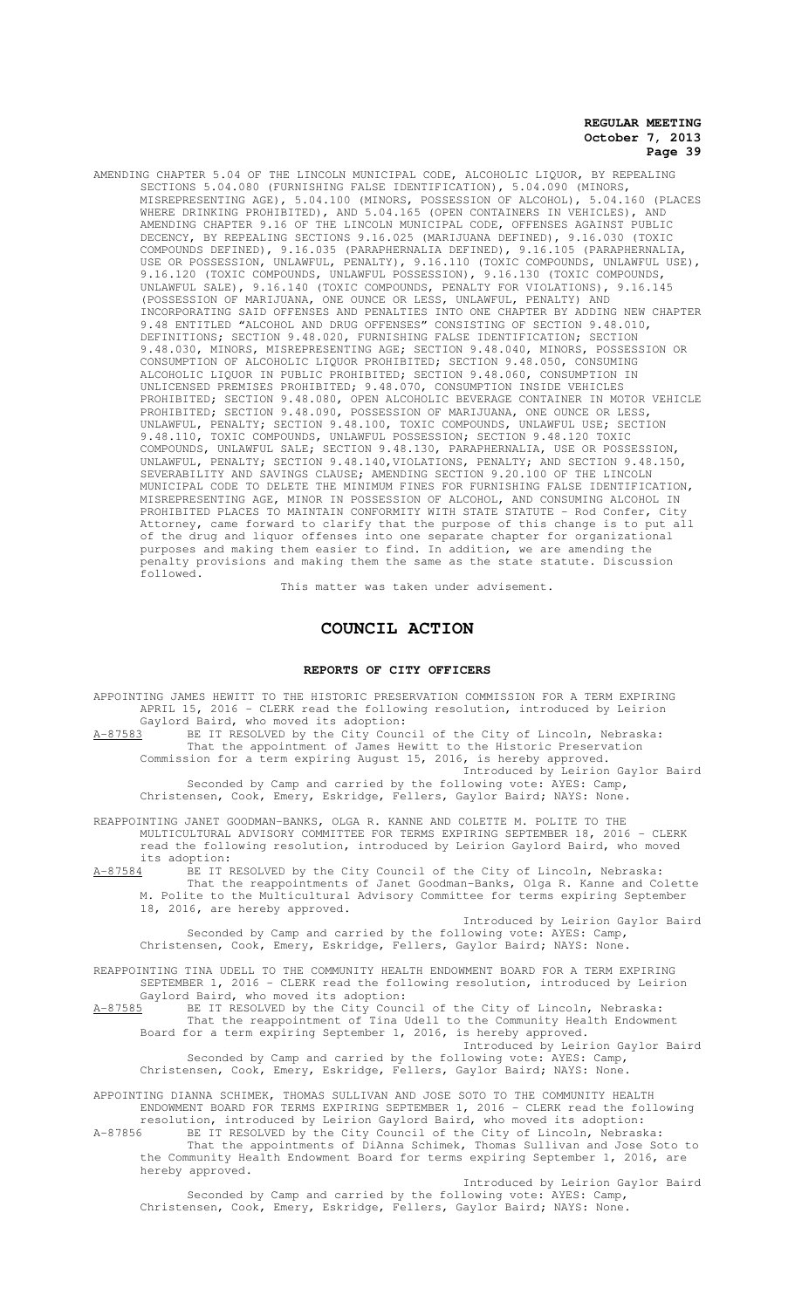AMENDING CHAPTER 5.04 OF THE LINCOLN MUNICIPAL CODE, ALCOHOLIC LIQUOR, BY REPEALING SECTIONS 5.04.080 (FURNISHING FALSE IDENTIFICATION), 5.04.090 (MINORS, MISREPRESENTING AGE), 5.04.100 (MINORS, POSSESSION OF ALCOHOL), 5.04.160 (PLACES WHERE DRINKING PROHIBITED), AND 5.04.165 (OPEN CONTAINERS IN VEHICLES), AND AMENDING CHAPTER 9.16 OF THE LINCOLN MUNICIPAL CODE, OFFENSES AGAINST PUBLIC DECENCY, BY REPEALING SECTIONS 9.16.025 (MARIJUANA DEFINED), 9.16.030 (TOXIC COMPOUNDS DEFINED), 9.16.035 (PARAPHERNALIA DEFINED), 9.16.105 (PARAPHERNALIA, USE OR POSSESSION, UNLAWFUL, PENALTY), 9.16.110 (TOXIC COMPOUNDS, UNLAWFUL USE), 9.16.120 (TOXIC COMPOUNDS, UNLAWFUL POSSESSION), 9.16.130 (TOXIC COMPOUNDS, UNLAWFUL SALE), 9.16.140 (TOXIC COMPOUNDS, PENALTY FOR VIOLATIONS), 9.16.145 (POSSESSION OF MARIJUANA, ONE OUNCE OR LESS, UNLAWFUL, PENALTY) AND INCORPORATING SAID OFFENSES AND PENALTIES INTO ONE CHAPTER BY ADDING NEW CHAPTER 9.48 ENTITLED "ALCOHOL AND DRUG OFFENSES" CONSISTING OF SECTION 9.48.010, DEFINITIONS; SECTION 9.48.020, FURNISHING FALSE IDENTIFICATION; SECTION<br>9.48.030, MINORS, MISREPRESENTING AGE: SECTION 9.48.040, MINORS, POSSESSION OR 9.48.030, MINORS, MISREPRESENTING AGE; SECTION 9.48.040, MINORS, POSSESSION OR CONSUMPTION OF ALCOHOLIC LIQUOR PROHIBITED; SECTION 9.48.050, CONSUMING ALCOHOLIC LIQUOR IN PUBLIC PROHIBITED; SECTION 9.48.060, CONSUMPTION IN UNLICENSED PREMISES PROHIBITED; 9.48.070, CONSUMPTION INSIDE VEHICLES PROHIBITED; SECTION 9.48.080, OPEN ALCOHOLIC BEVERAGE CONTAINER IN MOTOR VEHICLE PROHIBITED; SECTION 9.48.090, POSSESSION OF MARIJUANA, ONE OUNCE OR LESS, UNLAWFUL, PENALTY; SECTION 9.48.100, TOXIC COMPOUNDS, UNLAWFUL USE; SECTION 9.48.110, TOXIC COMPOUNDS, UNLAWFUL POSSESSION; SECTION 9.48.120 TOXIC COMPOUNDS, UNLAWFUL SALE; SECTION 9.48.130, PARAPHERNALIA, USE OR POSSESSION, UNLAWFUL, PENALTY; SECTION 9.48.140,VIOLATIONS, PENALTY; AND SECTION 9.48.150, SEVERABILITY AND SAVINGS CLAUSE; AMENDING SECTION 9.20.100 OF THE LINCOLN MUNICIPAL CODE TO DELETE THE MINIMUM FINES FOR FURNISHING FALSE IDENTIFICATION, MISREPRESENTING AGE, MINOR IN POSSESSION OF ALCOHOL, AND CONSUMING ALCOHOL IN PROHIBITED PLACES TO MAINTAIN CONFORMITY WITH STATE STATUTE - Rod Confer, City Attorney, came forward to clarify that the purpose of this change is to put all of the drug and liquor offenses into one separate chapter for organizational purposes and making them easier to find. In addition, we are amending the penalty provisions and making them the same as the state statute. Discussion followed.

This matter was taken under advisement.

# **COUNCIL ACTION**

# **REPORTS OF CITY OFFICERS**

APPOINTING JAMES HEWITT TO THE HISTORIC PRESERVATION COMMISSION FOR A TERM EXPIRING APRIL 15, 2016 - CLERK read the following resolution, introduced by Leirion Gaylord Baird, who moved its adoption:

A-87583 BE IT RESOLVED by the City Council of the City of Lincoln, Nebraska: That the appointment of James Hewitt to the Historic Preservation

Commission for a term expiring August 15, 2016, is hereby approved. Introduced by Leirion Gaylor Baird Seconded by Camp and carried by the following vote: AYES: Camp,

Christensen, Cook, Emery, Eskridge, Fellers, Gaylor Baird; NAYS: None.

REAPPOINTING JANET GOODMAN-BANKS, OLGA R. KANNE AND COLETTE M. POLITE TO THE MULTICULTURAL ADVISORY COMMITTEE FOR TERMS EXPIRING SEPTEMBER 18, 2016 - CLERK read the following resolution, introduced by Leirion Gaylord Baird, who moved its adoption:

A-87584 BE IT RESOLVED by the City Council of the City of Lincoln, Nebraska: That the reappointments of Janet Goodman-Banks, Olga R. Kanne and Colette M. Polite to the Multicultural Advisory Committee for terms expiring September

18, 2016, are hereby approved. Introduced by Leirion Gaylor Baird Seconded by Camp and carried by the following vote: AYES: Camp,

Christensen, Cook, Emery, Eskridge, Fellers, Gaylor Baird; NAYS: None.

REAPPOINTING TINA UDELL TO THE COMMUNITY HEALTH ENDOWMENT BOARD FOR A TERM EXPIRING SEPTEMBER 1, 2016 - CLERK read the following resolution, introduced by Leirion

Gaylord Baird, who moved its adoption:<br>A-87585 BE IT RESOLVED by the City Counc A-87585 BE IT RESOLVED by the City Council of the City of Lincoln, Nebraska: That the reappointment of Tina Udell to the Community Health Endowment Board for a term expiring September 1, 2016, is hereby approved.

Introduced by Leirion Gaylor Baird Seconded by Camp and carried by the following vote: AYES: Camp, Christensen, Cook, Emery, Eskridge, Fellers, Gaylor Baird; NAYS: None.

APPOINTING DIANNA SCHIMEK, THOMAS SULLIVAN AND JOSE SOTO TO THE COMMUNITY HEALTH ENDOWMENT BOARD FOR TERMS EXPIRING SEPTEMBER 1, 2016 - CLERK read the following resolution, introduced by Leirion Gaylord Baird, who moved its adoption:

A-87856 BE IT RESOLVED by the City Council of the City of Lincoln, Nebraska: That the appointments of DiAnna Schimek, Thomas Sullivan and Jose Soto to the Community Health Endowment Board for terms expiring September 1, 2016, are hereby approved.

Introduced by Leirion Gaylor Baird Seconded by Camp and carried by the following vote: AYES: Camp, Christensen, Cook, Emery, Eskridge, Fellers, Gaylor Baird; NAYS: None.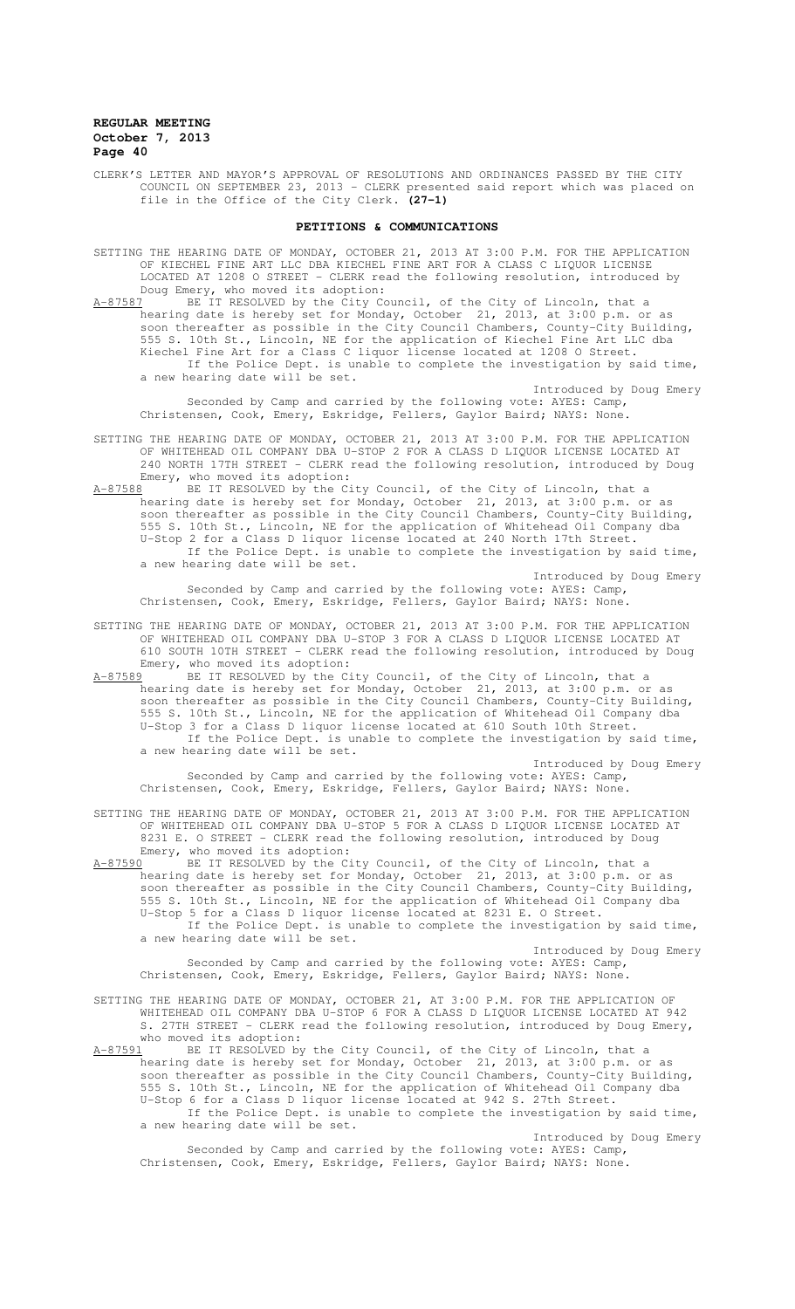CLERK'S LETTER AND MAYOR'S APPROVAL OF RESOLUTIONS AND ORDINANCES PASSED BY THE CITY COUNCIL ON SEPTEMBER 23, 2013 - CLERK presented said report which was placed on file in the Office of the City Clerk. **(27-1)**

#### **PETITIONS & COMMUNICATIONS**

- SETTING THE HEARING DATE OF MONDAY, OCTOBER 21, 2013 AT 3:00 P.M. FOR THE APPLICATION OF KIECHEL FINE ART LLC DBA KIECHEL FINE ART FOR A CLASS C LIQUOR LICENSE LOCATED AT 1208 O STREET - CLERK read the following resolution, introduced by Doug Emery, who moved its adoption:
- A-87587 BE IT RESOLVED by the City Council, of the City of Lincoln, that a hearing date is hereby set for Monday, October 21, 2013, at 3:00 p.m. or as soon thereafter as possible in the City Council Chambers, County-City Building, 555 S. 10th St., Lincoln, NE for the application of Kiechel Fine Art LLC dba Kiechel Fine Art for a Class C liquor license located at 1208 O Street. If the Police Dept. is unable to complete the investigation by said time, a new hearing date will be set.

Introduced by Doug Emery Seconded by Camp and carried by the following vote: AYES: Camp, Christensen, Cook, Emery, Eskridge, Fellers, Gaylor Baird; NAYS: None.

SETTING THE HEARING DATE OF MONDAY, OCTOBER 21, 2013 AT 3:00 P.M. FOR THE APPLICATION OF WHITEHEAD OIL COMPANY DBA U-STOP 2 FOR A CLASS D LIQUOR LICENSE LOCATED AT 240 NORTH 17TH STREET - CLERK read the following resolution, introduced by Doug Emery, who moved its adoption:<br>A-87588 BE IT RESOLVED by the Ci

BE IT RESOLVED by the City Council, of the City of Lincoln, that a hearing date is hereby set for Monday, October 21, 2013, at 3:00 p.m. or as soon thereafter as possible in the City Council Chambers, County-City Building, 555 S. 10th St., Lincoln, NE for the application of Whitehead Oil Company dba U-Stop 2 for a Class D liquor license located at 240 North 17th Street. If the Police Dept. is unable to complete the investigation by said time,

a new hearing date will be set. Introduced by Doug Emery

Seconded by Camp and carried by the following vote: AYES: Camp, Christensen, Cook, Emery, Eskridge, Fellers, Gaylor Baird; NAYS: None.

SETTING THE HEARING DATE OF MONDAY, OCTOBER 21, 2013 AT 3:00 P.M. FOR THE APPLICATION OF WHITEHEAD OIL COMPANY DBA U-STOP 3 FOR A CLASS D LIQUOR LICENSE LOCATED AT 610 SOUTH 10TH STREET - CLERK read the following resolution, introduced by Doug Emery, who moved its adoption:<br>A-87589 BE IT RESOLVED by the Ci

BE IT RESOLVED by the City Council, of the City of Lincoln, that a hearing date is hereby set for Monday, October 21, 2013, at 3:00 p.m. or as soon thereafter as possible in the City Council Chambers, County-City Building, 555 S. 10th St., Lincoln, NE for the application of Whitehead Oil Company dba U-Stop 3 for a Class D liquor license located at 610 South 10th Street. If the Police Dept. is unable to complete the investigation by said time, a new hearing date will be set.

Introduced by Doug Emery Seconded by Camp and carried by the following vote: AYES: Camp, Christensen, Cook, Emery, Eskridge, Fellers, Gaylor Baird; NAYS: None.

SETTING THE HEARING DATE OF MONDAY, OCTOBER 21, 2013 AT 3:00 P.M. FOR THE APPLICATION OF WHITEHEAD OIL COMPANY DBA U-STOP 5 FOR A CLASS D LIQUOR LICENSE LOCATED AT 8231 E. O STREET - CLERK read the following resolution, introduced by Doug Emery, who moved its adoption:<br>A-87590 BE IT RESOLVED by the C

BE IT RESOLVED by the City Council, of the City of Lincoln, that a hearing date is hereby set for Monday, October 21, 2013, at 3:00 p.m. or as soon thereafter as possible in the City Council Chambers, County-City Building, 555 S. 10th St., Lincoln, NE for the application of Whitehead Oil Company dba U-Stop 5 for a Class D liquor license located at 8231 E. O Street. If the Police Dept. is unable to complete the investigation by said time, a new hearing date will be set.

Introduced by Doug Emery Seconded by Camp and carried by the following vote: AYES: Camp, Christensen, Cook, Emery, Eskridge, Fellers, Gaylor Baird; NAYS: None.

SETTING THE HEARING DATE OF MONDAY, OCTOBER 21, AT 3:00 P.M. FOR THE APPLICATION OF WHITEHEAD OIL COMPANY DBA U-STOP 6 FOR A CLASS D LIQUOR LICENSE LOCATED AT 942 S. 27TH STREET - CLERK read the following resolution, introduced by Doug Emery,

who moved its adoption:<br>A-87591 BE IT RESOLVED by BE IT RESOLVED by the City Council, of the City of Lincoln, that a hearing date is hereby set for Monday, October 21, 2013, at 3:00 p.m. or as soon thereafter as possible in the City Council Chambers, County-City Building, 555 S. 10th St., Lincoln, NE for the application of Whitehead Oil Company dba U-Stop 6 for a Class D liquor license located at 942 S. 27th Street.

If the Police Dept. is unable to complete the investigation by said time, a new hearing date will be set.

Introduced by Doug Emery Seconded by Camp and carried by the following vote: AYES: Camp, Christensen, Cook, Emery, Eskridge, Fellers, Gaylor Baird; NAYS: None.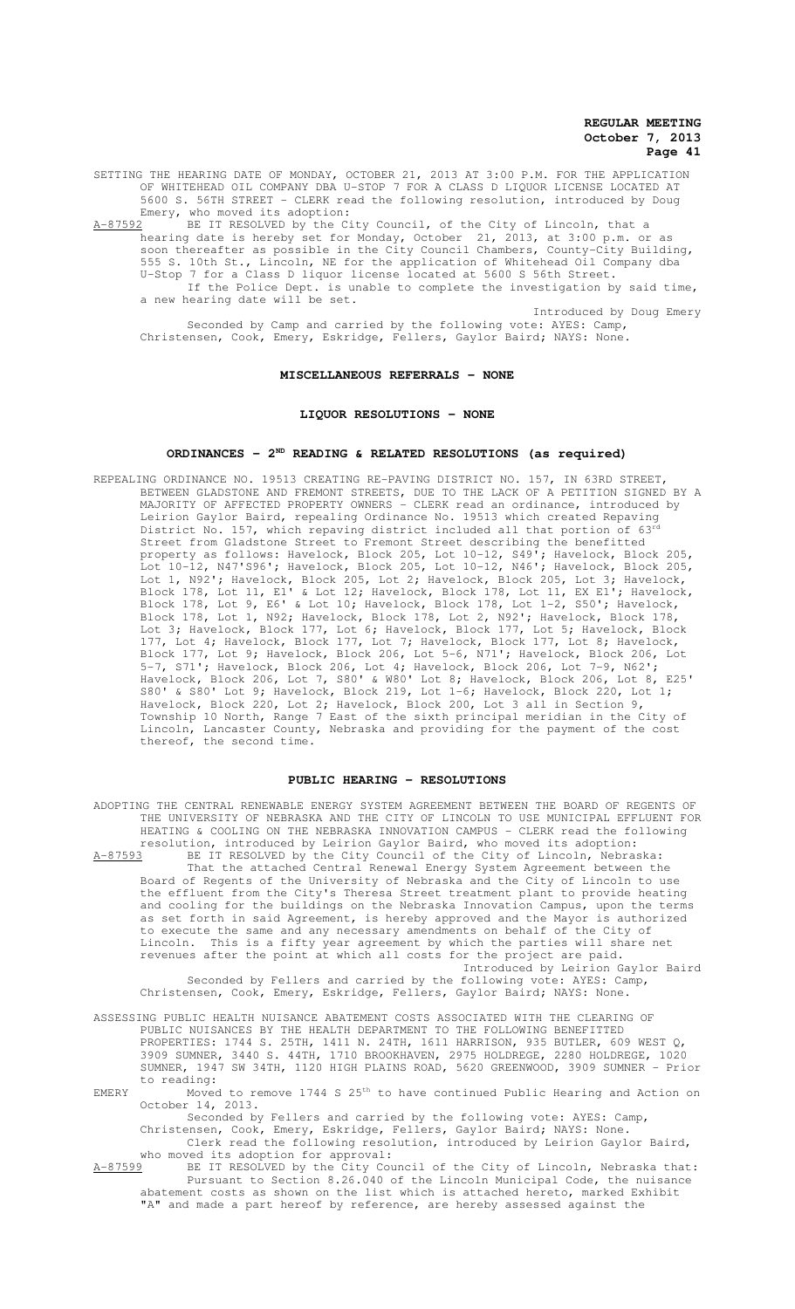SETTING THE HEARING DATE OF MONDAY, OCTOBER 21, 2013 AT 3:00 P.M. FOR THE APPLICATION OF WHITEHEAD OIL COMPANY DBA U-STOP 7 FOR A CLASS D LIQUOR LICENSE LOCATED AT 5600 S. 56TH STREET - CLERK read the following resolution, introduced by Doug Emery, who moved its adoption:

A-87592 BE IT RESOLVED by the City Council, of the City of Lincoln, that a hearing date is hereby set for Monday, October 21, 2013, at 3:00 p.m. or as soon thereafter as possible in the City Council Chambers, County-City Building, 555 S. 10th St., Lincoln, NE for the application of Whitehead Oil Company dba U-Stop 7 for a Class D liquor license located at 5600 S 56th Street. If the Police Dept. is unable to complete the investigation by said time, a new hearing date will be set. Introduced by Doug Emery

Seconded by Camp and carried by the following vote: AYES: Camp, Christensen, Cook, Emery, Eskridge, Fellers, Gaylor Baird; NAYS: None.

#### **MISCELLANEOUS REFERRALS - NONE**

#### **LIQUOR RESOLUTIONS - NONE**

### **ORDINANCES - 2ND READING & RELATED RESOLUTIONS (as required)**

REPEALING ORDINANCE NO. 19513 CREATING RE-PAVING DISTRICT NO. 157, IN 63RD STREET, BETWEEN GLADSTONE AND FREMONT STREETS, DUE TO THE LACK OF A PETITION SIGNED BY A MAJORITY OF AFFECTED PROPERTY OWNERS - CLERK read an ordinance, introduced by Leirion Gaylor Baird, repealing Ordinance No. 19513 which created Repaving District No. 157, which repaving district included all that portion of 63<sup>rd</sup> Street from Gladstone Street to Fremont Street describing the benefitted property as follows: Havelock, Block 205, Lot 10-12, S49'; Havelock, Block 205, Lot 10-12, N47'S96'; Havelock, Block 205, Lot 10-12, N46'; Havelock, Block 205, Lot 1, N92'; Havelock, Block 205, Lot 2; Havelock, Block 205, Lot 3; Havelock, Block 178, Lot 11, E1' & Lot 12; Havelock, Block 178, Lot 11, EX E1'; Havelock, Block 178, Lot 9, E6' & Lot 10; Havelock, Block 178, Lot 1-2, S50'; Havelock, Block 178, Lot 1, N92; Havelock, Block 178, Lot 2, N92'; Havelock, Block 178, Lot 3; Havelock, Block 177, Lot 6; Havelock, Block 177, Lot 5; Havelock, Block 177, Lot 4; Havelock, Block 177, Lot 7; Havelock, Block 177, Lot 8; Havelock, Block 177, Lot 9; Havelock, Block 206, Lot 5-6, N71'; Havelock, Block 206, Lot 5-7, S71'; Havelock, Block 206, Lot 4; Havelock, Block 206, Lot 7-9, N62'; Havelock, Block 206, Lot 7, S80' & W80' Lot 8; Havelock, Block 206, Lot 8, E25' S80' & S80' Lot 9; Havelock, Block 219, Lot 1-6; Havelock, Block 220, Lot 1; Havelock, Block 220, Lot 2; Havelock, Block 200, Lot 3 all in Section 9, Township 10 North, Range 7 East of the sixth principal meridian in the City of Lincoln, Lancaster County, Nebraska and providing for the payment of the cost thereof, the second time.

#### **PUBLIC HEARING - RESOLUTIONS**

ADOPTING THE CENTRAL RENEWABLE ENERGY SYSTEM AGREEMENT BETWEEN THE BOARD OF REGENTS OF THE UNIVERSITY OF NEBRASKA AND THE CITY OF LINCOLN TO USE MUNICIPAL EFFLUENT FOR HEATING & COOLING ON THE NEBRASKA INNOVATION CAMPUS - CLERK read the following resolution, introduced by Leirion Gaylor Baird, who moved its adoption: A-87593 BE IT RESOLVED by the City Council of the City of Lincoln, Nebraska: That the attached Central Renewal Energy System Agreement between the Board of Regents of the University of Nebraska and the City of Lincoln to use the effluent from the City's Theresa Street treatment plant to provide heating and cooling for the buildings on the Nebraska Innovation Campus, upon the terms as set forth in said Agreement, is hereby approved and the Mayor is authorized to execute the same and any necessary amendments on behalf of the City of Lincoln. This is a fifty year agreement by which the parties will share net revenues after the point at which all costs for the project are paid. Introduced by Leirion Gaylor Baird Seconded by Fellers and carried by the following vote: AYES: Camp, Christensen, Cook, Emery, Eskridge, Fellers, Gaylor Baird; NAYS: None. ASSESSING PUBLIC HEALTH NUISANCE ABATEMENT COSTS ASSOCIATED WITH THE CLEARING OF PUBLIC NUISANCES BY THE HEALTH DEPARTMENT TO THE FOLLOWING BENEFITTED PROPERTIES: 1744 S. 25TH, 1411 N. 24TH, 1611 HARRISON, 935 BUTLER, 609 WEST Q, 3909 SUMNER, 3440 S. 44TH, 1710 BROOKHAVEN, 2975 HOLDREGE, 2280 HOLDREGE, 1020

SUMNER, 1947 SW 34TH, 1120 HIGH PLAINS ROAD, 5620 GREENWOOD, 3909 SUMNER - Prior to reading: EMERY Moved to remove  $1744 \text{ s } 25^{\text{th}}$  to have continued Public Hearing and Action on

October 14, 2013.

Seconded by Fellers and carried by the following vote: AYES: Camp,

Christensen, Cook, Emery, Eskridge, Fellers, Gaylor Baird; NAYS: None. Clerk read the following resolution, introduced by Leirion Gaylor Baird,

who moved its adoption for approval:<br>A-87599 BE IT RESOLVED by the City Cou BE IT RESOLVED by the City Council of the City of Lincoln, Nebraska that: Pursuant to Section 8.26.040 of the Lincoln Municipal Code, the nuisance abatement costs as shown on the list which is attached hereto, marked Exhibit "A" and made a part hereof by reference, are hereby assessed against the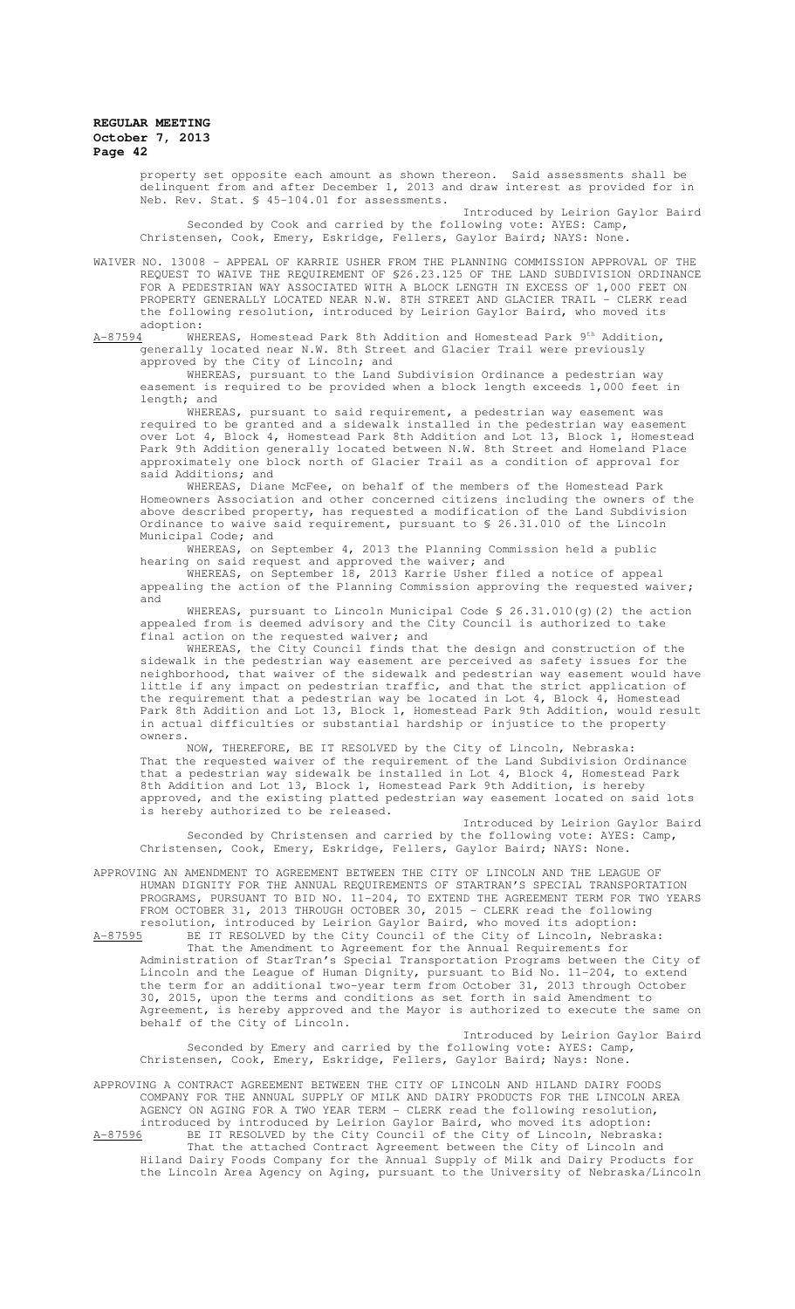property set opposite each amount as shown thereon. Said assessments shall be delinquent from and after December 1, 2013 and draw interest as provided for in Neb. Rev. Stat. § 45-104.01 for assessments.

Introduced by Leirion Gaylor Baird Seconded by Cook and carried by the following vote: AYES: Camp, Christensen, Cook, Emery, Eskridge, Fellers, Gaylor Baird; NAYS: None.

WAIVER NO. 13008 – APPEAL OF KARRIE USHER FROM THE PLANNING COMMISSION APPROVAL OF THE REQUEST TO WAIVE THE REQUIREMENT OF §26.23.125 OF THE LAND SUBDIVISION ORDINANCE FOR A PEDESTRIAN WAY ASSOCIATED WITH A BLOCK LENGTH IN EXCESS OF 1,000 FEET ON PROPERTY GENERALLY LOCATED NEAR N.W. 8TH STREET AND GLACIER TRAIL - CLERK read the following resolution, introduced by Leirion Gaylor Baird, who moved its

adoption:<br><u>A-87594</u> WHI WHEREAS, Homestead Park 8th Addition and Homestead Park 9<sup>th</sup> Addition, generally located near N.W. 8th Street and Glacier Trail were previously approved by the City of Lincoln; and

WHEREAS, pursuant to the Land Subdivision Ordinance a pedestrian way easement is required to be provided when a block length exceeds 1,000 feet in length; and

WHEREAS, pursuant to said requirement, a pedestrian way easement was required to be granted and a sidewalk installed in the pedestrian way easement over Lot 4, Block 4, Homestead Park 8th Addition and Lot 13, Block 1, Homestead Park 9th Addition generally located between N.W. 8th Street and Homeland Place approximately one block north of Glacier Trail as a condition of approval for said Additions; and

WHEREAS, Diane McFee, on behalf of the members of the Homestead Park Homeowners Association and other concerned citizens including the owners of the above described property, has requested a modification of the Land Subdivision Ordinance to waive said requirement, pursuant to § 26.31.010 of the Lincoln Municipal Code; and

WHEREAS, on September 4, 2013 the Planning Commission held a public hearing on said request and approved the waiver; and

WHEREAS, on September 18, 2013 Karrie Usher filed a notice of appeal appealing the action of the Planning Commission approving the requested waiver; and

WHEREAS, pursuant to Lincoln Municipal Code  $$26.31.010(q)(2)$  the action appealed from is deemed advisory and the City Council is authorized to take final action on the requested waiver; and

WHEREAS, the City Council finds that the design and construction of the sidewalk in the pedestrian way easement are perceived as safety issues for the neighborhood, that waiver of the sidewalk and pedestrian way easement would have little if any impact on pedestrian traffic, and that the strict application of the requirement that a pedestrian way be located in Lot 4, Block 4, Homestead Park 8th Addition and Lot 13, Block 1, Homestead Park 9th Addition, would result in actual difficulties or substantial hardship or injustice to the property owners.

NOW, THEREFORE, BE IT RESOLVED by the City of Lincoln, Nebraska: That the requested waiver of the requirement of the Land Subdivision Ordinance that a pedestrian way sidewalk be installed in Lot 4, Block 4, Homestead Park 8th Addition and Lot 13, Block 1, Homestead Park 9th Addition, is hereby approved, and the existing platted pedestrian way easement located on said lots is hereby authorized to be released.

Introduced by Leirion Gaylor Baird Seconded by Christensen and carried by the following vote: AYES: Camp, Christensen, Cook, Emery, Eskridge, Fellers, Gaylor Baird; NAYS: None.

APPROVING AN AMENDMENT TO AGREEMENT BETWEEN THE CITY OF LINCOLN AND THE LEAGUE OF HUMAN DIGNITY FOR THE ANNUAL REQUIREMENTS OF STARTRAN'S SPECIAL TRANSPORTATION PROGRAMS, PURSUANT TO BID NO. 11-204, TO EXTEND THE AGREEMENT TERM FOR TWO YEARS FROM OCTOBER 31, 2013 THROUGH OCTOBER 30, 2015 - CLERK read the following resolution, introduced by Leirion Gaylor Baird, who moved its adoption:

A-87595 BE IT RESOLVED by the City Council of the City of Lincoln, Nebraska: That the Amendment to Agreement for the Annual Requirements for Administration of StarTran's Special Transportation Programs between the City of Lincoln and the League of Human Dignity, pursuant to Bid No. 11-204, to extend the term for an additional two-year term from October 31, 2013 through October 30, 2015, upon the terms and conditions as set forth in said Amendment to Agreement, is hereby approved and the Mayor is authorized to execute the same on behalf of the City of Lincoln.

Introduced by Leirion Gaylor Baird Seconded by Emery and carried by the following vote: AYES: Camp, Christensen, Cook, Emery, Eskridge, Fellers, Gaylor Baird; Nays: None.

APPROVING A CONTRACT AGREEMENT BETWEEN THE CITY OF LINCOLN AND HILAND DAIRY FOODS COMPANY FOR THE ANNUAL SUPPLY OF MILK AND DAIRY PRODUCTS FOR THE LINCOLN AREA AGENCY ON AGING FOR A TWO YEAR TERM - CLERK read the following resolution, introduced by introduced by Leirion Gaylor Baird, who moved its adoption: A-87596 BE IT RESOLVED by the City Council of the City of Lincoln, Nebraska:

That the attached Contract Agreement between the City of Lincoln and Hiland Dairy Foods Company for the Annual Supply of Milk and Dairy Products for the Lincoln Area Agency on Aging, pursuant to the University of Nebraska/Lincoln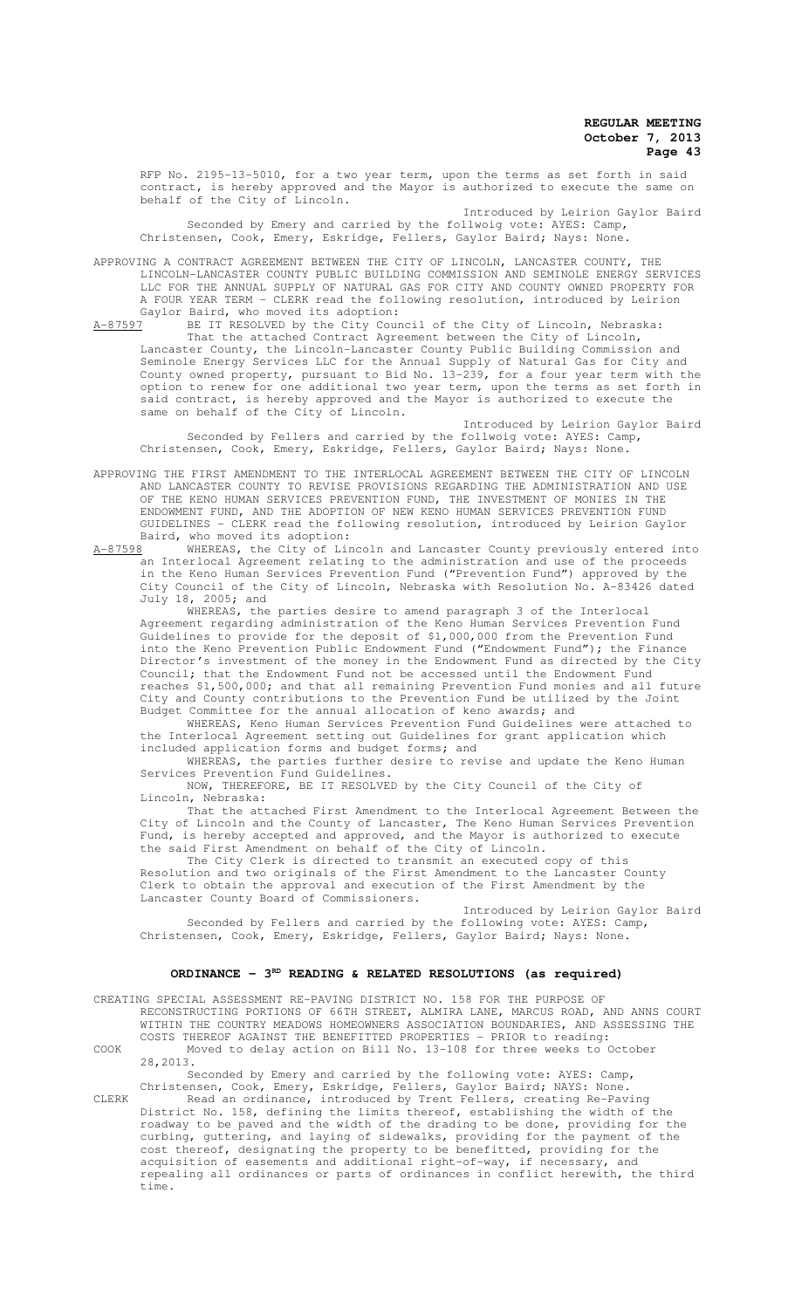RFP No. 2195-13-5010, for a two year term, upon the terms as set forth in said contract, is hereby approved and the Mayor is authorized to execute the same on behalf of the City of Lincoln.

Introduced by Leirion Gaylor Baird Seconded by Emery and carried by the follwoig vote: AYES: Camp, Christensen, Cook, Emery, Eskridge, Fellers, Gaylor Baird; Nays: None.

APPROVING A CONTRACT AGREEMENT BETWEEN THE CITY OF LINCOLN, LANCASTER COUNTY, THE LINCOLN-LANCASTER COUNTY PUBLIC BUILDING COMMISSION AND SEMINOLE ENERGY SERVICES LLC FOR THE ANNUAL SUPPLY OF NATURAL GAS FOR CITY AND COUNTY OWNED PROPERTY FOR A FOUR YEAR TERM - CLERK read the following resolution, introduced by Leirion Gaylor Baird, who moved its adoption:<br>A-87597 BE IT RESOLVED by the City Coun

A-87597 BE IT RESOLVED by the City Council of the City of Lincoln, Nebraska: That the attached Contract Agreement between the City of Lincoln, Lancaster County, the Lincoln-Lancaster County Public Building Commission and Seminole Energy Services LLC for the Annual Supply of Natural Gas for City and County owned property, pursuant to Bid No. 13-239, for a four year term with the option to renew for one additional two year term, upon the terms as set forth in said contract, is hereby approved and the Mayor is authorized to execute the same on behalf of the City of Lincoln.

Introduced by Leirion Gaylor Baird Seconded by Fellers and carried by the follwoig vote: AYES: Camp, Christensen, Cook, Emery, Eskridge, Fellers, Gaylor Baird; Nays: None.

APPROVING THE FIRST AMENDMENT TO THE INTERLOCAL AGREEMENT BETWEEN THE CITY OF LINCOLN AND LANCASTER COUNTY TO REVISE PROVISIONS REGARDING THE ADMINISTRATION AND USE OF THE KENO HUMAN SERVICES PREVENTION FUND, THE INVESTMENT OF MONIES IN THE ENDOWMENT FUND, AND THE ADOPTION OF NEW KENO HUMAN SERVICES PREVENTION FUND GUIDELINES - CLERK read the following resolution, introduced by Leirion Gaylor

Baird, who moved its adoption:<br>A-87598 WHEREAS, the City of Lin WHEREAS, the City of Lincoln and Lancaster County previously entered into an Interlocal Agreement relating to the administration and use of the proceeds in the Keno Human Services Prevention Fund ("Prevention Fund") approved by the City Council of the City of Lincoln, Nebraska with Resolution No. A-83426 dated July 18, 2005; and

WHEREAS, the parties desire to amend paragraph 3 of the Interlocal Agreement regarding administration of the Keno Human Services Prevention Fund Guidelines to provide for the deposit of \$1,000,000 from the Prevention Fund into the Keno Prevention Public Endowment Fund ("Endowment Fund"); the Finance Director's investment of the money in the Endowment Fund as directed by the City Council; that the Endowment Fund not be accessed until the Endowment Fund reaches \$1,500,000; and that all remaining Prevention Fund monies and all future City and County contributions to the Prevention Fund be utilized by the Joint Budget Committee for the annual allocation of keno awards; and

WHEREAS, Keno Human Services Prevention Fund Guidelines were attached to the Interlocal Agreement setting out Guidelines for grant application which included application forms and budget forms; and

WHEREAS, the parties further desire to revise and update the Keno Human Services Prevention Fund Guidelines.

NOW, THEREFORE, BE IT RESOLVED by the City Council of the City of Lincoln, Nebraska:

That the attached First Amendment to the Interlocal Agreement Between the City of Lincoln and the County of Lancaster, The Keno Human Services Prevention Fund, is hereby accepted and approved, and the Mayor is authorized to execute the said First Amendment on behalf of the City of Lincoln.

The City Clerk is directed to transmit an executed copy of this Resolution and two originals of the First Amendment to the Lancaster County Clerk to obtain the approval and execution of the First Amendment by the Lancaster County Board of Commissioners.

Introduced by Leirion Gaylor Baird Seconded by Fellers and carried by the following vote: AYES: Camp, Christensen, Cook, Emery, Eskridge, Fellers, Gaylor Baird; Nays: None.

# ORDINANCE - 3<sup>RD</sup> READING & RELATED RESOLUTIONS (as required)

CREATING SPECIAL ASSESSMENT RE-PAVING DISTRICT NO. 158 FOR THE PURPOSE OF RECONSTRUCTING PORTIONS OF 66TH STREET, ALMIRA LANE, MARCUS ROAD, AND ANNS COURT WITHIN THE COUNTRY MEADOWS HOMEOWNERS ASSOCIATION BOUNDARIES, AND ASSESSING THE COSTS THEREOF AGAINST THE BENEFITTED PROPERTIES - PRIOR to reading:

COOK Moved to delay action on Bill No. 13-108 for three weeks to October 28,2013.

Seconded by Emery and carried by the following vote: AYES: Camp, Christensen, Cook, Emery, Eskridge, Fellers, Gaylor Baird; NAYS: None.

CLERK Read an ordinance, introduced by Trent Fellers, creating Re-Paving District No. 158, defining the limits thereof, establishing the width of the roadway to be paved and the width of the drading to be done, providing for the curbing, guttering, and laying of sidewalks, providing for the payment of the cost thereof, designating the property to be benefitted, providing for the acquisition of easements and additional right-of-way, if necessary, and repealing all ordinances or parts of ordinances in conflict herewith, the third time.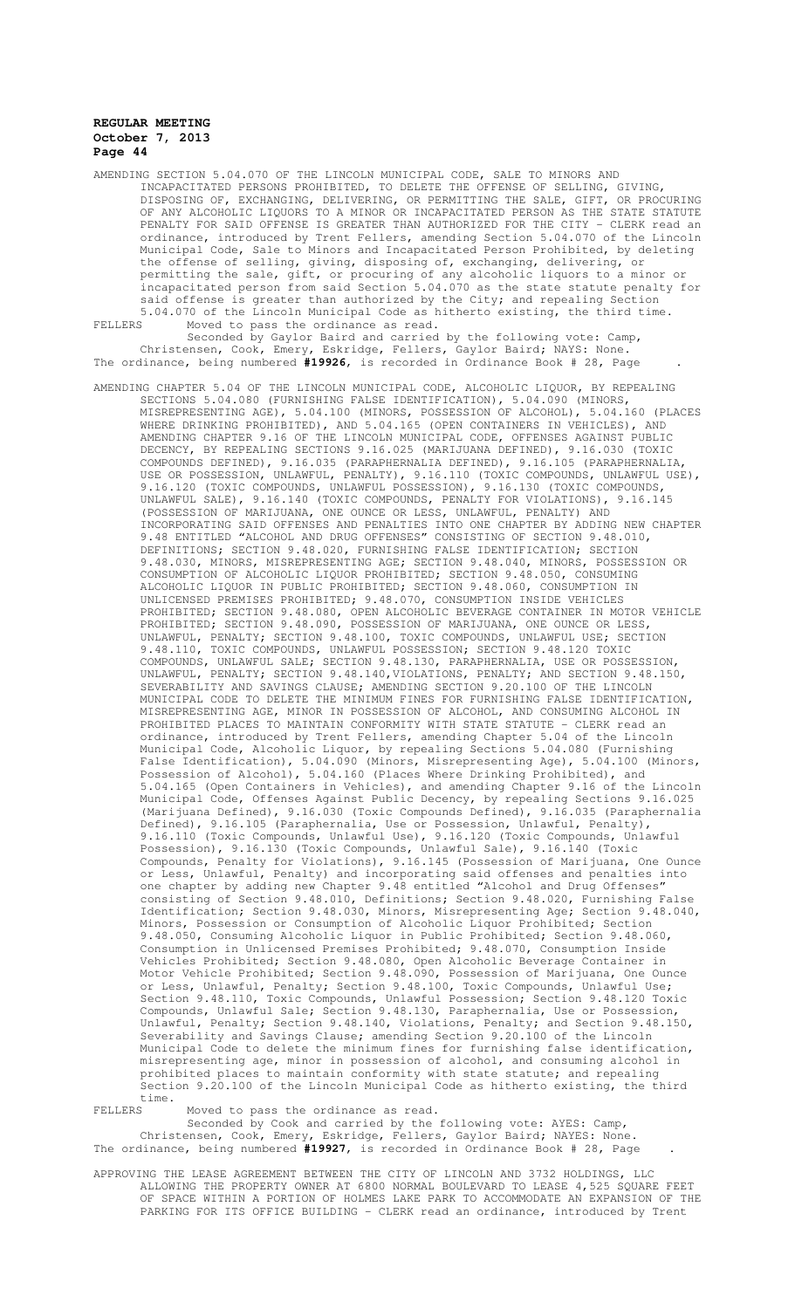AMENDING SECTION 5.04.070 OF THE LINCOLN MUNICIPAL CODE, SALE TO MINORS AND INCAPACITATED PERSONS PROHIBITED, TO DELETE THE OFFENSE OF SELLING, GIVING, DISPOSING OF, EXCHANGING, DELIVERING, OR PERMITTING THE SALE, GIFT, OF ANY ALCOHOLIC LIQUORS TO A MINOR OR INCAPACITATED PERSON AS THE STATE STATUTE PENALTY FOR SAID OFFENSE IS GREATER THAN AUTHORIZED FOR THE CITY - CLERK read an ordinance, introduced by Trent Fellers, amending Section 5.04.070 of the Lincoln Municipal Code, Sale to Minors and Incapacitated Person Prohibited, by deleting the offense of selling, giving, disposing of, exchanging, delivering, or permitting the sale, gift, or procuring of any alcoholic liquors to a minor or incapacitated person from said Section 5.04.070 as the state statute penalty for said offense is greater than authorized by the City; and repealing Section 5.04.070 of the Lincoln Municipal Code as hitherto existing, the third time. FELLERS Moved to pass the ordinance as read.

Seconded by Gaylor Baird and carried by the following vote: Camp, Christensen, Cook, Emery, Eskridge, Fellers, Gaylor Baird; NAYS: None. The ordinance, being numbered **#19926**, is recorded in Ordinance Book # 28, Page .

AMENDING CHAPTER 5.04 OF THE LINCOLN MUNICIPAL CODE, ALCOHOLIC LIQUOR, BY REPEALING SECTIONS 5.04.080 (FURNISHING FALSE IDENTIFICATION), 5.04.090 (MINORS, MISREPRESENTING AGE), 5.04.100 (MINORS, POSSESSION OF ALCOHOL), 5.04.160 (PLACES WHERE DRINKING PROHIBITED), AND 5.04.165 (OPEN CONTAINERS IN VEHICLES), AND AMENDING CHAPTER 9.16 OF THE LINCOLN MUNICIPAL CODE, OFFENSES AGAINST PUBLIC DECENCY, BY REPEALING SECTIONS 9.16.025 (MARIJUANA DEFINED), 9.16.030 (TOXIC COMPOUNDS DEFINED), 9.16.035 (PARAPHERNALIA DEFINED), 9.16.105 (PARAPHERNALIA, USE OR POSSESSION, UNLAWFUL, PENALTY), 9.16.110 (TOXIC COMPOUNDS, UNLAWFUL USE), 9.16.120 (TOXIC COMPOUNDS, UNLAWFUL POSSESSION), 9.16.130 (TOXIC COMPOUNDS, UNLAWFUL SALE), 9.16.140 (TOXIC COMPOUNDS, PENALTY FOR VIOLATIONS), 9.16.145 (POSSESSION OF MARIJUANA, ONE OUNCE OR LESS, UNLAWFUL, PENALTY) AND INCORPORATING SAID OFFENSES AND PENALTIES INTO ONE CHAPTER BY ADDING NEW CHAPTER 9.48 ENTITLED "ALCOHOL AND DRUG OFFENSES" CONSISTING OF SECTION 9.48.010, DEFINITIONS; SECTION 9.48.020, FURNISHING FALSE IDENTIFICATION; SECTION 9.48.030, MINORS, MISREPRESENTING AGE; SECTION 9.48.040, MINORS, POSSESSION OR CONSUMPTION OF ALCOHOLIC LIQUOR PROHIBITED; SECTION 9.48.050, CONSUMING ALCOHOLIC LIQUOR IN PUBLIC PROHIBITED; SECTION 9.48.060, CONSUMPTION IN UNLICENSED PREMISES PROHIBITED; 9.48.070, CONSUMPTION INSIDE VEHICLES PROHIBITED; SECTION 9.48.080, OPEN ALCOHOLIC BEVERAGE CONTAINER IN MOTOR VEHICLE PROHIBITED; SECTION 9.48.090, POSSESSION OF MARIJUANA, ONE OUNCE OR LESS, UNLAWFUL, PENALTY; SECTION 9.48.100, TOXIC COMPOUNDS, UNLAWFUL USE; SECTION 9.48.110, TOXIC COMPOUNDS, UNLAWFUL POSSESSION; SECTION 9.48.120 TOXIC COMPOUNDS, UNLAWFUL SALE; SECTION 9.48.130, PARAPHERNALIA, USE OR POSSESSION, UNLAWFUL, PENALTY; SECTION 9.48.140,VIOLATIONS, PENALTY; AND SECTION 9.48.150, SEVERABILITY AND SAVINGS CLAUSE; AMENDING SECTION 9.20.100 OF THE LINCOLN MUNICIPAL CODE TO DELETE THE MINIMUM FINES FOR FURNISHING FALSE IDENTIFICATION, MISREPRESENTING AGE, MINOR IN POSSESSION OF ALCOHOL, AND CONSUMING ALCOHOL IN PROHIBITED PLACES TO MAINTAIN CONFORMITY WITH STATE STATUTE - CLERK read an ordinance, introduced by Trent Fellers, amending Chapter 5.04 of the Lincoln Municipal Code, Alcoholic Liquor, by repealing Sections 5.04.080 (Furnishing False Identification), 5.04.090 (Minors, Misrepresenting Age), 5.04.100 (Minors, Possession of Alcohol), 5.04.160 (Places Where Drinking Prohibited), and 5.04.165 (Open Containers in Vehicles), and amending Chapter 9.16 of the Lincoln Municipal Code, Offenses Against Public Decency, by repealing Sections 9.16.025 (Marijuana Defined), 9.16.030 (Toxic Compounds Defined), 9.16.035 (Paraphernalia Defined), 9.16.105 (Paraphernalia, Use or Possession, Unlawful, Penalty), 9.16.110 (Toxic Compounds, Unlawful Use), 9.16.120 (Toxic Compounds, Unlawful Possession), 9.16.130 (Toxic Compounds, Unlawful Sale), 9.16.140 (Toxic Compounds, Penalty for Violations), 9.16.145 (Possession of Marijuana, One Ounce or Less, Unlawful, Penalty) and incorporating said offenses and penalties into one chapter by adding new Chapter 9.48 entitled "Alcohol and Drug Offenses" consisting of Section 9.48.010, Definitions; Section 9.48.020, Furnishing False Identification; Section 9.48.030, Minors, Misrepresenting Age; Section 9.48.040, Minors, Possession or Consumption of Alcoholic Liquor Prohibited; Section 9.48.050, Consuming Alcoholic Liquor in Public Prohibited; Section 9.48.060, Consumption in Unlicensed Premises Prohibited; 9.48.070, Consumption Inside Vehicles Prohibited; Section 9.48.080, Open Alcoholic Beverage Container in Motor Vehicle Prohibited; Section 9.48.090, Possession of Marijuana, One Ounce or Less, Unlawful, Penalty; Section 9.48.100, Toxic Compounds, Unlawful Use; Section 9.48.110, Toxic Compounds, Unlawful Possession; Section 9.48.120 Toxic Compounds, Unlawful Sale; Section 9.48.130, Paraphernalia, Use or Possession, Unlawful, Penalty; Section 9.48.140, Violations, Penalty; and Section 9.48.150, Severability and Savings Clause; amending Section 9.20.100 of the Lincoln Municipal Code to delete the minimum fines for furnishing false identification, misrepresenting age, minor in possession of alcohol, and consuming alcohol in prohibited places to maintain conformity with state statute; and repealing Section 9.20.100 of the Lincoln Municipal Code as hitherto existing, the third time.

FELLERS Moved to pass the ordinance as read.

Seconded by Cook and carried by the following vote: AYES: Camp, Christensen, Cook, Emery, Eskridge, Fellers, Gaylor Baird; NAYES: None. The ordinance, being numbered **#19927**, is recorded in Ordinance Book # 28, Page .

APPROVING THE LEASE AGREEMENT BETWEEN THE CITY OF LINCOLN AND 3732 HOLDINGS, LLC ALLOWING THE PROPERTY OWNER AT 6800 NORMAL BOULEVARD TO LEASE 4,525 SQUARE FEET OF SPACE WITHIN A PORTION OF HOLMES LAKE PARK TO ACCOMMODATE AN EXPANSION OF THE PARKING FOR ITS OFFICE BUILDING - CLERK read an ordinance, introduced by Trent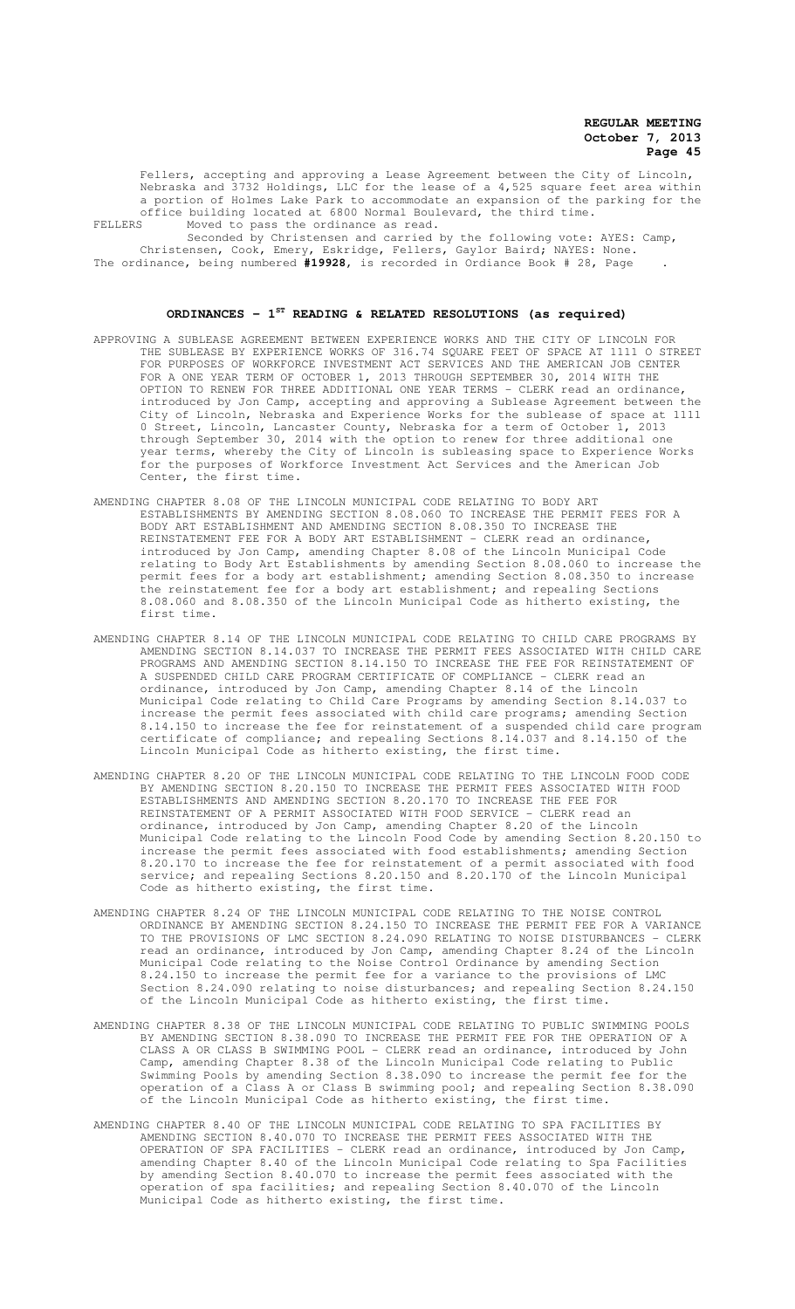Fellers, accepting and approving a Lease Agreement between the City of Lincoln, Nebraska and 3732 Holdings, LLC for the lease of a 4,525 square feet area within a portion of Holmes Lake Park to accommodate an expansion of the parking for the office building located at 6800 Normal Boulevard, the third time. FELLERS Moved to pass the ordinance as read.

Seconded by Christensen and carried by the following vote: AYES: Camp, Christensen, Cook, Emery, Eskridge, Fellers, Gaylor Baird; NAYES: None. The ordinance, being numbered **#19928,** is recorded in Ordiance Book # 28, Page .

#### **ORDINANCES - 1ST READING & RELATED RESOLUTIONS (as required)**

- APPROVING A SUBLEASE AGREEMENT BETWEEN EXPERIENCE WORKS AND THE CITY OF LINCOLN FOR THE SUBLEASE BY EXPERIENCE WORKS OF 316.74 SQUARE FEET OF SPACE AT 1111 O STREET FOR PURPOSES OF WORKFORCE INVESTMENT ACT SERVICES AND THE AMERICAN JOB CENTER FOR A ONE YEAR TERM OF OCTOBER 1, 2013 THROUGH SEPTEMBER 30, 2014 WITH THE OPTION TO RENEW FOR THREE ADDITIONAL ONE YEAR TERMS - CLERK read an ordinance, introduced by Jon Camp, accepting and approving a Sublease Agreement between the City of Lincoln, Nebraska and Experience Works for the sublease of space at 1111 0 Street, Lincoln, Lancaster County, Nebraska for a term of October 1, 2013 through September 30, 2014 with the option to renew for three additional one year terms, whereby the City of Lincoln is subleasing space to Experience Works for the purposes of Workforce Investment Act Services and the American Job Center, the first time.
- AMENDING CHAPTER 8.08 OF THE LINCOLN MUNICIPAL CODE RELATING TO BODY ART ESTABLISHMENTS BY AMENDING SECTION 8.08.060 TO INCREASE THE PERMIT FEES FOR A BODY ART ESTABLISHMENT AND AMENDING SECTION 8.08.350 TO INCREASE THE REINSTATEMENT FEE FOR A BODY ART ESTABLISHMENT - CLERK read an ordinance, introduced by Jon Camp, amending Chapter 8.08 of the Lincoln Municipal Code relating to Body Art Establishments by amending Section 8.08.060 to increase the permit fees for a body art establishment; amending Section 8.08.350 to increase the reinstatement fee for a body art establishment; and repealing Sections 8.08.060 and 8.08.350 of the Lincoln Municipal Code as hitherto existing, the first time.
- AMENDING CHAPTER 8.14 OF THE LINCOLN MUNICIPAL CODE RELATING TO CHILD CARE PROGRAMS BY AMENDING SECTION 8.14.037 TO INCREASE THE PERMIT FEES ASSOCIATED WITH CHILD CARE PROGRAMS AND AMENDING SECTION 8.14.150 TO INCREASE THE FEE FOR REINSTATEMENT OF A SUSPENDED CHILD CARE PROGRAM CERTIFICATE OF COMPLIANCE - CLERK read an ordinance, introduced by Jon Camp, amending Chapter 8.14 of the Lincoln Municipal Code relating to Child Care Programs by amending Section 8.14.037 to increase the permit fees associated with child care programs; amending Section 8.14.150 to increase the fee for reinstatement of a suspended child care program certificate of compliance; and repealing Sections 8.14.037 and 8.14.150 of the Lincoln Municipal Code as hitherto existing, the first time.
- AMENDING CHAPTER 8.20 OF THE LINCOLN MUNICIPAL CODE RELATING TO THE LINCOLN FOOD CODE BY AMENDING SECTION 8.20.150 TO INCREASE THE PERMIT FEES ASSOCIATED WITH FOOD ESTABLISHMENTS AND AMENDING SECTION 8.20.170 TO INCREASE THE FEE FOR REINSTATEMENT OF A PERMIT ASSOCIATED WITH FOOD SERVICE - CLERK read an ordinance, introduced by Jon Camp, amending Chapter 8.20 of the Lincoln Municipal Code relating to the Lincoln Food Code by amending Section 8.20.150 to increase the permit fees associated with food establishments; amending Section 8.20.170 to increase the fee for reinstatement of a permit associated with food service; and repealing Sections 8.20.150 and 8.20.170 of the Lincoln Municipal Code as hitherto existing, the first time.
- AMENDING CHAPTER 8.24 OF THE LINCOLN MUNICIPAL CODE RELATING TO THE NOISE CONTROL ORDINANCE BY AMENDING SECTION 8.24.150 TO INCREASE THE PERMIT FEE FOR A VARIANCE TO THE PROVISIONS OF LMC SECTION 8.24.090 RELATING TO NOISE DISTURBANCES - CLERK read an ordinance, introduced by Jon Camp, amending Chapter 8.24 of the Lincoln Municipal Code relating to the Noise Control Ordinance by amending Section 8.24.150 to increase the permit fee for a variance to the provisions of LMC Section 8.24.090 relating to noise disturbances; and repealing Section 8.24.150 of the Lincoln Municipal Code as hitherto existing, the first time.
- AMENDING CHAPTER 8.38 OF THE LINCOLN MUNICIPAL CODE RELATING TO PUBLIC SWIMMING POOLS BY AMENDING SECTION 8.38.090 TO INCREASE THE PERMIT FEE FOR THE OPERATION OF A CLASS A OR CLASS B SWIMMING POOL - CLERK read an ordinance, introduced by John Camp, amending Chapter 8.38 of the Lincoln Municipal Code relating to Public Swimming Pools by amending Section 8.38.090 to increase the permit fee for the operation of a Class A or Class B swimming pool; and repealing Section 8.38.090 of the Lincoln Municipal Code as hitherto existing, the first time.
- AMENDING CHAPTER 8.40 OF THE LINCOLN MUNICIPAL CODE RELATING TO SPA FACILITIES BY AMENDING SECTION 8.40.070 TO INCREASE THE PERMIT FEES ASSOCIATED WITH THE OPERATION OF SPA FACILITIES - CLERK read an ordinance, introduced by Jon Camp, amending Chapter 8.40 of the Lincoln Municipal Code relating to Spa Facilities by amending Section 8.40.070 to increase the permit fees associated with the operation of spa facilities; and repealing Section 8.40.070 of the Lincoln Municipal Code as hitherto existing, the first time.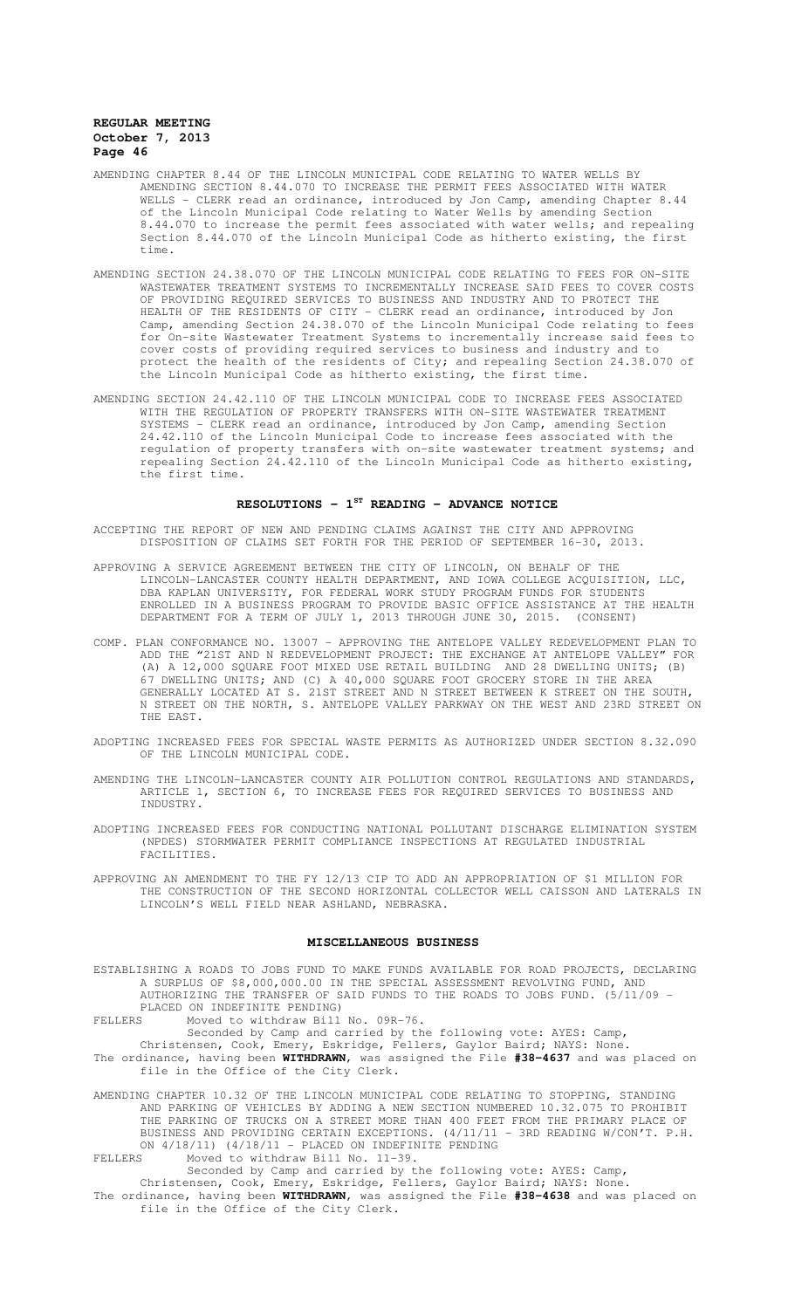- AMENDING CHAPTER 8.44 OF THE LINCOLN MUNICIPAL CODE RELATING TO WATER WELLS BY AMENDING SECTION 8.44.070 TO INCREASE THE PERMIT FEES ASSOCIATED WITH WATER WELLS - CLERK read an ordinance, introduced by Jon Camp, amending Chapter 8.44 of the Lincoln Municipal Code relating to Water Wells by amending Section 8.44.070 to increase the permit fees associated with water wells; and repealing Section 8.44.070 of the Lincoln Municipal Code as hitherto existing, the first time.
- AMENDING SECTION 24.38.070 OF THE LINCOLN MUNICIPAL CODE RELATING TO FEES FOR ON-SITE WASTEWATER TREATMENT SYSTEMS TO INCREMENTALLY INCREASE SAID FEES TO COVER COSTS OF PROVIDING REQUIRED SERVICES TO BUSINESS AND INDUSTRY AND TO PROTECT THE HEALTH OF THE RESIDENTS OF CITY - CLERK read an ordinance, introduced by Jon Camp, amending Section 24.38.070 of the Lincoln Municipal Code relating to fees for On-site Wastewater Treatment Systems to incrementally increase said fees to cover costs of providing required services to business and industry and to protect the health of the residents of City; and repealing Section 24.38.070 of the Lincoln Municipal Code as hitherto existing, the first time.
- AMENDING SECTION 24.42.110 OF THE LINCOLN MUNICIPAL CODE TO INCREASE FEES ASSOCIATED WITH THE REGULATION OF PROPERTY TRANSFERS WITH ON-SITE WASTEWATER TREATMENT SYSTEMS - CLERK read an ordinance, introduced by Jon Camp, amending Section 24.42.110 of the Lincoln Municipal Code to increase fees associated with the regulation of property transfers with on-site wastewater treatment systems; and repealing Section 24.42.110 of the Lincoln Municipal Code as hitherto existing, the first time.

# **RESOLUTIONS - 1ST READING - ADVANCE NOTICE**

- ACCEPTING THE REPORT OF NEW AND PENDING CLAIMS AGAINST THE CITY AND APPROVING DISPOSITION OF CLAIMS SET FORTH FOR THE PERIOD OF SEPTEMBER 16-30, 2013.
- APPROVING A SERVICE AGREEMENT BETWEEN THE CITY OF LINCOLN, ON BEHALF OF THE LINCOLN-LANCASTER COUNTY HEALTH DEPARTMENT, AND IOWA COLLEGE ACQUISITION, LLC, DBA KAPLAN UNIVERSITY, FOR FEDERAL WORK STUDY PROGRAM FUNDS FOR STUDENTS ENROLLED IN A BUSINESS PROGRAM TO PROVIDE BASIC OFFICE ASSISTANCE AT THE HEALTH DEPARTMENT FOR A TERM OF JULY 1, 2013 THROUGH JUNE 30, 2015. (CONSENT)
- COMP. PLAN CONFORMANCE NO. 13007 APPROVING THE ANTELOPE VALLEY REDEVELOPMENT PLAN TO<br>ADD THE "21ST AND N REDEVELOPMENT PROJECT: THE EXCHANGE AT ANTELOPE VALLEY" FOR ADD THE "21ST AND N REDEVELOPMENT PROJECT: THE EXCHANGE AT ANTELOPE VALLEY" (A) A 12,000 SQUARE FOOT MIXED USE RETAIL BUILDING AND 28 DWELLING UNITS; (B) 67 DWELLING UNITS; AND (C) A 40,000 SQUARE FOOT GROCERY STORE IN THE AREA GENERALLY LOCATED AT S. 21ST STREET AND N STREET BETWEEN K STREET ON THE SOUTH, N STREET ON THE NORTH, S. ANTELOPE VALLEY PARKWAY ON THE WEST AND 23RD STREET ON THE EAST.
- ADOPTING INCREASED FEES FOR SPECIAL WASTE PERMITS AS AUTHORIZED UNDER SECTION 8.32.090 OF THE LINCOLN MUNICIPAL CODE.
- AMENDING THE LINCOLN-LANCASTER COUNTY AIR POLLUTION CONTROL REGULATIONS AND STANDARDS, ARTICLE 1, SECTION 6, TO INCREASE FEES FOR REQUIRED SERVICES TO BUSINESS AND INDUSTRY.
- ADOPTING INCREASED FEES FOR CONDUCTING NATIONAL POLLUTANT DISCHARGE ELIMINATION SYSTEM (NPDES) STORMWATER PERMIT COMPLIANCE INSPECTIONS AT REGULATED INDUSTRIAL FACILITIES.
- APPROVING AN AMENDMENT TO THE FY 12/13 CIP TO ADD AN APPROPRIATION OF \$1 MILLION FOR THE CONSTRUCTION OF THE SECOND HORIZONTAL COLLECTOR WELL CAISSON AND LATERALS IN LINCOLN'S WELL FIELD NEAR ASHLAND, NEBRASKA.

## **MISCELLANEOUS BUSINESS**

- ESTABLISHING A ROADS TO JOBS FUND TO MAKE FUNDS AVAILABLE FOR ROAD PROJECTS, DECLARING A SURPLUS OF \$8,000,000.00 IN THE SPECIAL ASSESSMENT REVOLVING FUND, AND AUTHORIZING THE TRANSFER OF SAID FUNDS TO THE ROADS TO JOBS FUND. (5/11/09 - PLACED ON INDEFINITE PENDING)
- FELLERS Moved to withdraw Bill No. 09R-76.

Seconded by Camp and carried by the following vote: AYES: Camp,

- Christensen, Cook, Emery, Eskridge, Fellers, Gaylor Baird; NAYS: None. The ordinance, having been **WITHDRAWN**, was assigned the File **#38-4637** and was placed on file in the Office of the City Clerk.
- AMENDING CHAPTER 10.32 OF THE LINCOLN MUNICIPAL CODE RELATING TO STOPPING, STANDING AND PARKING OF VEHICLES BY ADDING A NEW SECTION NUMBERED 10.32.075 TO PROHIBIT THE PARKING OF TRUCKS ON A STREET MORE THAN 400 FEET FROM THE PRIMARY PLACE OF BUSINESS AND PROVIDING CERTAIN EXCEPTIONS. (4/11/11 - 3RD READING W/CON'T. P.H. ON 4/18/11) (4/18/11 - PLACED ON INDEFINITE PENDING FELLERS Moved to withdraw Bill No. 11-39.

Seconded by Camp and carried by the following vote: AYES: Camp,

Christensen, Cook, Emery, Eskridge, Fellers, Gaylor Baird; NAYS: None.

The ordinance, having been **WITHDRAWN,** was assigned the File **#38-4638** and was placed on file in the Office of the City Clerk.